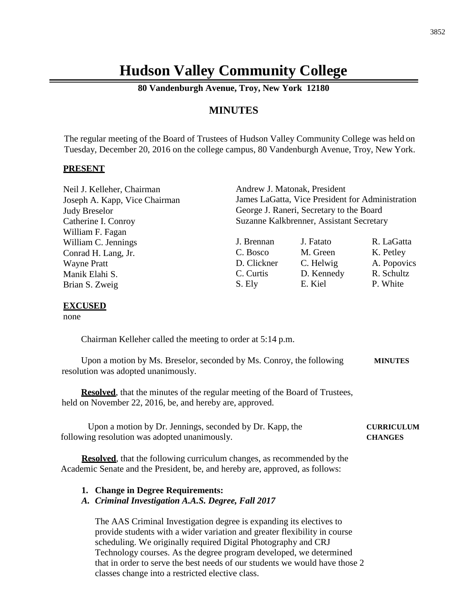# **Hudson Valley Community College**

**80 Vandenburgh Avenue, Troy, New York 12180**

# **MINUTES**

The regular meeting of the Board of Trustees of Hudson Valley Community College was held on Tuesday, December 20, 2016 on the college campus, 80 Vandenburgh Avenue, Troy, New York.

### **PRESENT**

| Neil J. Kelleher, Chairman    | Andrew J. Matonak, President                     |            |             |
|-------------------------------|--------------------------------------------------|------------|-------------|
| Joseph A. Kapp, Vice Chairman | James LaGatta, Vice President for Administration |            |             |
| <b>Judy Breselor</b>          | George J. Raneri, Secretary to the Board         |            |             |
| Catherine I. Conroy           | Suzanne Kalkbrenner, Assistant Secretary         |            |             |
| William F. Fagan              |                                                  |            |             |
| William C. Jennings           | J. Brennan                                       | J. Fatato  | R. LaGatta  |
| Conrad H. Lang, Jr.           | C. Bosco                                         | M. Green   | K. Petley   |
| <b>Wayne Pratt</b>            | D. Clickner                                      | C. Helwig  | A. Popovics |
| Manik Elahi S.                | C. Curtis                                        | D. Kennedy | R. Schultz  |
| Brian S. Zweig                | S. Ely                                           | E. Kiel    | P. White    |

#### **EXCUSED**

none

Chairman Kelleher called the meeting to order at 5:14 p.m.

Upon a motion by Ms. Breselor, seconded by Ms. Conroy, the following **MINUTES** resolution was adopted unanimously.

**Resolved**, that the minutes of the regular meeting of the Board of Trustees, held on November 22, 2016, be, and hereby are, approved.

| Upon a motion by Dr. Jennings, seconded by Dr. Kapp, the | <b>CURRICULUM</b> |
|----------------------------------------------------------|-------------------|
| following resolution was adopted unanimously.            | <b>CHANGES</b>    |

**Resolved**, that the following curriculum changes, as recommended by the Academic Senate and the President, be, and hereby are, approved, as follows:

#### **1. Change in Degree Requirements:**

### *A. Criminal Investigation A.A.S. Degree, Fall 2017*

The AAS Criminal Investigation degree is expanding its electives to provide students with a wider variation and greater flexibility in course scheduling. We originally required Digital Photography and CRJ Technology courses. As the degree program developed, we determined that in order to serve the best needs of our students we would have those 2 classes change into a restricted elective class.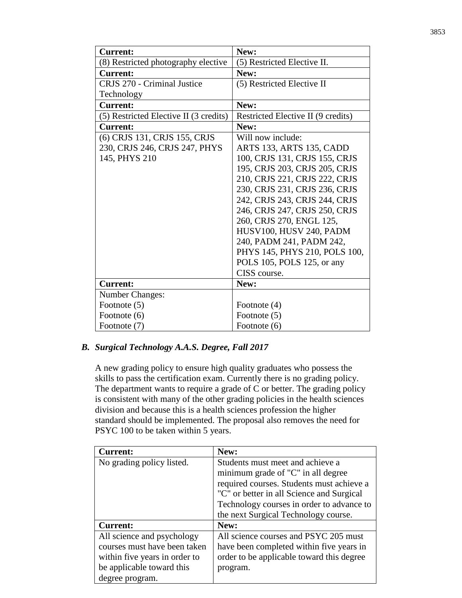| <b>Current:</b>                        | New:                               |
|----------------------------------------|------------------------------------|
| (8) Restricted photography elective    | (5) Restricted Elective II.        |
| <b>Current:</b>                        | New:                               |
| CRJS 270 - Criminal Justice            | (5) Restricted Elective II         |
| Technology                             |                                    |
| <b>Current:</b>                        | New:                               |
| (5) Restricted Elective II (3 credits) | Restricted Elective II (9 credits) |
| <b>Current:</b>                        | New:                               |
| (6) CRJS 131, CRJS 155, CRJS           | Will now include:                  |
| 230, CRJS 246, CRJS 247, PHYS          | ARTS 133, ARTS 135, CADD           |
| 145, PHYS 210                          | 100, CRJS 131, CRJS 155, CRJS      |
|                                        | 195, CRJS 203, CRJS 205, CRJS      |
|                                        | 210, CRJS 221, CRJS 222, CRJS      |
|                                        | 230, CRJS 231, CRJS 236, CRJS      |
|                                        | 242, CRJS 243, CRJS 244, CRJS      |
|                                        | 246, CRJS 247, CRJS 250, CRJS      |
|                                        | 260, CRJS 270, ENGL 125,           |
|                                        | HUSV100, HUSV 240, PADM            |
|                                        | 240, PADM 241, PADM 242,           |
|                                        | PHYS 145, PHYS 210, POLS 100,      |
|                                        | POLS 105, POLS 125, or any         |
|                                        | CISS course.                       |
| <b>Current:</b>                        | New:                               |
| Number Changes:                        |                                    |
| Footnote (5)                           | Footnote (4)                       |
| Footnote (6)                           | Footnote (5)                       |
| Footnote (7)                           | Footnote (6)                       |

# *B. Surgical Technology A.A.S. Degree, Fall 2017*

A new grading policy to ensure high quality graduates who possess the skills to pass the certification exam. Currently there is no grading policy. The department wants to require a grade of C or better. The grading policy is consistent with many of the other grading policies in the health sciences division and because this is a health sciences profession the higher standard should be implemented. The proposal also removes the need for PSYC 100 to be taken within 5 years.

| <b>Current:</b>               | New:                                      |
|-------------------------------|-------------------------------------------|
| No grading policy listed.     | Students must meet and achieve a          |
|                               | minimum grade of "C" in all degree        |
|                               | required courses. Students must achieve a |
|                               | "C" or better in all Science and Surgical |
|                               | Technology courses in order to advance to |
|                               | the next Surgical Technology course.      |
| <b>Current:</b>               | New:                                      |
| All science and psychology    | All science courses and PSYC 205 must     |
| courses must have been taken  | have been completed within five years in  |
| within five years in order to | order to be applicable toward this degree |
| be applicable toward this     | program.                                  |
| degree program.               |                                           |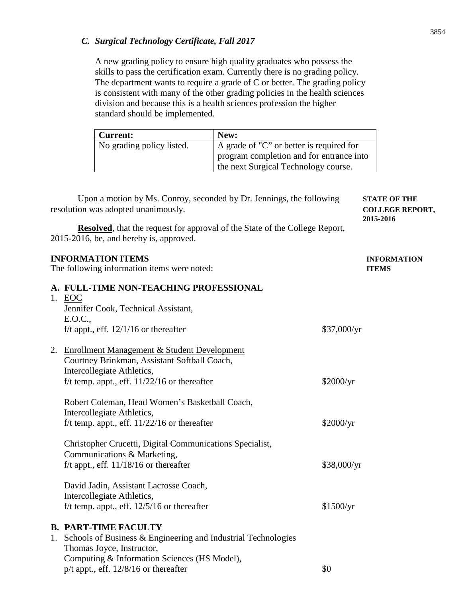# *C. Surgical Technology Certificate, Fall 2017*

A new grading policy to ensure high quality graduates who possess the skills to pass the certification exam. Currently there is no grading policy. The department wants to require a grade of C or better. The grading policy is consistent with many of the other grading policies in the health sciences division and because this is a health sciences profession the higher standard should be implemented.

| <b>Current:</b>           | New:                                     |
|---------------------------|------------------------------------------|
| No grading policy listed. | A grade of "C" or better is required for |
|                           | program completion and for entrance into |
|                           | the next Surgical Technology course.     |

| Upon a motion by Ms. Conroy, seconded by Dr. Jennings, the following<br>resolution was adopted unanimously. |                                                                                                                                                                                | <b>STATE OF THE</b><br><b>COLLEGE REPORT,</b><br>2015-2016 |                                    |
|-------------------------------------------------------------------------------------------------------------|--------------------------------------------------------------------------------------------------------------------------------------------------------------------------------|------------------------------------------------------------|------------------------------------|
|                                                                                                             | <b>Resolved</b> , that the request for approval of the State of the College Report,<br>2015-2016, be, and hereby is, approved.                                                 |                                                            |                                    |
|                                                                                                             | <b>INFORMATION ITEMS</b><br>The following information items were noted:                                                                                                        |                                                            | <b>INFORMATION</b><br><b>ITEMS</b> |
|                                                                                                             | A. FULL-TIME NON-TEACHING PROFESSIONAL<br>1. EOC<br>Jennifer Cook, Technical Assistant,<br>E.O.C.,<br>f/t appt., eff. $12/1/16$ or thereafter                                  | \$37,000/yr                                                |                                    |
|                                                                                                             | 2. Enrollment Management & Student Development<br>Courtney Brinkman, Assistant Softball Coach,<br>Intercollegiate Athletics,<br>f/t temp. appt., eff. $11/22/16$ or thereafter | \$2000/yr                                                  |                                    |
|                                                                                                             | Robert Coleman, Head Women's Basketball Coach,<br>Intercollegiate Athletics,<br>f/t temp. appt., eff. $11/22/16$ or thereafter                                                 | \$2000/yr                                                  |                                    |
|                                                                                                             | Christopher Crucetti, Digital Communications Specialist,<br>Communications & Marketing,<br>f/t appt., eff. $11/18/16$ or thereafter                                            | \$38,000/yr                                                |                                    |
|                                                                                                             | David Jadin, Assistant Lacrosse Coach,<br>Intercollegiate Athletics,<br>f/t temp. appt., eff. $12/5/16$ or thereafter                                                          | \$1500/yr                                                  |                                    |
| 1.                                                                                                          | <b>B. PART-TIME FACULTY</b><br>Schools of Business & Engineering and Industrial Technologies<br>Thomas Joyce, Instructor,<br>Computing & Information Sciences (HS Model),      |                                                            |                                    |

 $p/t$  appt., eff. 12/8/16 or thereafter  $\qquad$  \$0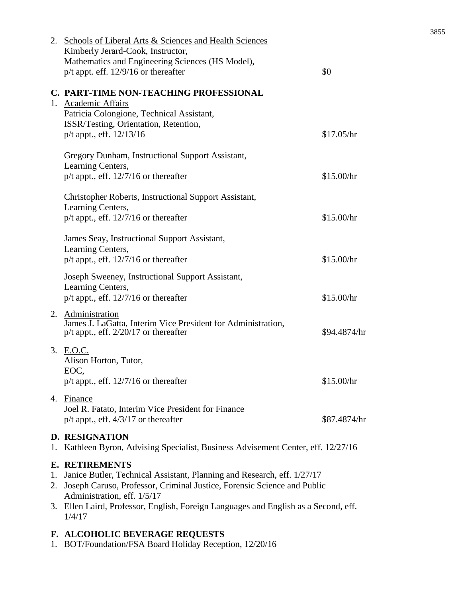|          | 2. Schools of Liberal Arts & Sciences and Health Sciences<br>Kimberly Jerard-Cook, Instructor,<br>Mathematics and Engineering Sciences (HS Model),                                                                                                                                                          |              |
|----------|-------------------------------------------------------------------------------------------------------------------------------------------------------------------------------------------------------------------------------------------------------------------------------------------------------------|--------------|
|          | $p/t$ appt. eff. 12/9/16 or thereafter                                                                                                                                                                                                                                                                      | \$0          |
|          | C. PART-TIME NON-TEACHING PROFESSIONAL<br>1. Academic Affairs<br>Patricia Colongione, Technical Assistant,<br>ISSR/Testing, Orientation, Retention,<br>p/t appt., eff. 12/13/16                                                                                                                             | \$17.05/hr   |
|          | Gregory Dunham, Instructional Support Assistant,<br>Learning Centers,<br>$p/t$ appt., eff. 12/7/16 or thereafter                                                                                                                                                                                            | \$15.00/hr   |
|          | Christopher Roberts, Instructional Support Assistant,<br>Learning Centers,<br>$p/t$ appt., eff. 12/7/16 or thereafter                                                                                                                                                                                       | \$15.00/hr   |
|          | James Seay, Instructional Support Assistant,<br>Learning Centers,<br>$p/t$ appt., eff. 12/7/16 or thereafter                                                                                                                                                                                                | \$15.00/hr   |
|          | Joseph Sweeney, Instructional Support Assistant,<br>Learning Centers,<br>$p/t$ appt., eff. 12/7/16 or thereafter                                                                                                                                                                                            | \$15.00/hr   |
|          | 2. Administration<br>James J. LaGatta, Interim Vice President for Administration,<br>$p/t$ appt., eff. 2/20/17 or thereafter                                                                                                                                                                                | \$94.4874/hr |
|          | 3. E.O.C.<br>Alison Horton, Tutor,<br>EOC,<br>$p/t$ appt., eff. 12/7/16 or thereafter                                                                                                                                                                                                                       | \$15.00/hr   |
|          | 4. Finance<br>Joel R. Fatato, Interim Vice President for Finance<br>$p/t$ appt., eff. $4/3/17$ or thereafter                                                                                                                                                                                                | \$87.4874/hr |
|          | <b>D. RESIGNATION</b><br>1. Kathleen Byron, Advising Specialist, Business Advisement Center, eff. 12/27/16                                                                                                                                                                                                  |              |
| 1.<br>2. | <b>E. RETIREMENTS</b><br>Janice Butler, Technical Assistant, Planning and Research, eff. 1/27/17<br>Joseph Caruso, Professor, Criminal Justice, Forensic Science and Public<br>Administration, eff. 1/5/17<br>3. Ellen Laird, Professor, English, Foreign Languages and English as a Second, eff.<br>1/4/17 |              |
|          | F. ALCOHOLIC BEVERAGE REQUESTS                                                                                                                                                                                                                                                                              |              |

1. BOT/Foundation/FSA Board Holiday Reception, 12/20/16